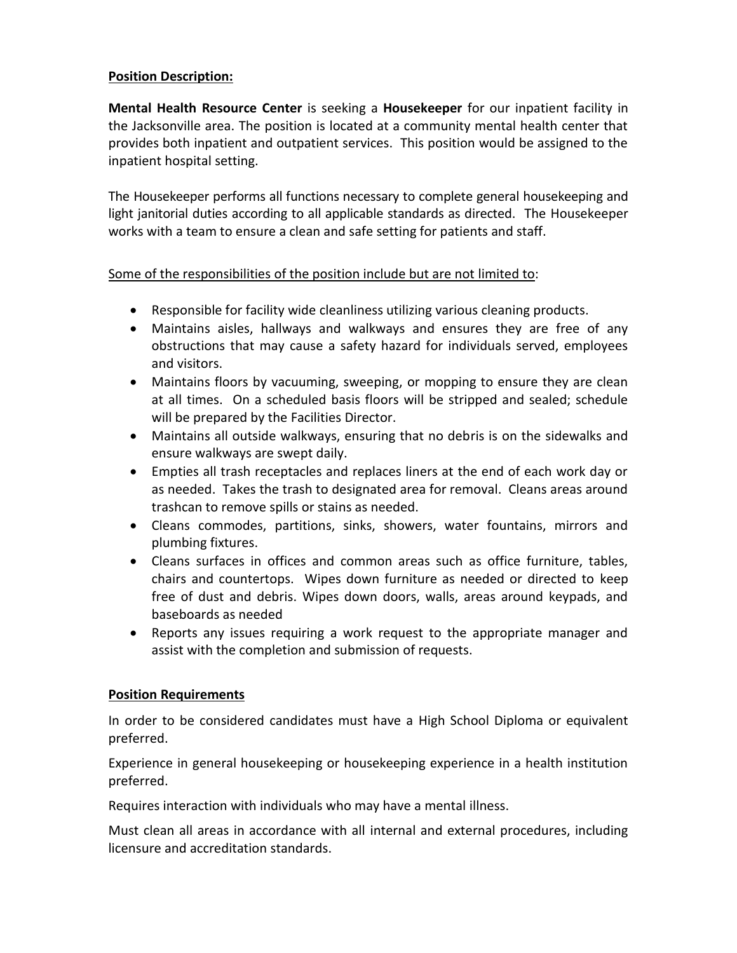## **Position Description:**

**Mental Health Resource Center** is seeking a **Housekeeper** for our inpatient facility in the Jacksonville area. The position is located at a community mental health center that provides both inpatient and outpatient services. This position would be assigned to the inpatient hospital setting.

The Housekeeper performs all functions necessary to complete general housekeeping and light janitorial duties according to all applicable standards as directed. The Housekeeper works with a team to ensure a clean and safe setting for patients and staff.

## Some of the responsibilities of the position include but are not limited to:

- Responsible for facility wide cleanliness utilizing various cleaning products.
- Maintains aisles, hallways and walkways and ensures they are free of any obstructions that may cause a safety hazard for individuals served, employees and visitors.
- Maintains floors by vacuuming, sweeping, or mopping to ensure they are clean at all times. On a scheduled basis floors will be stripped and sealed; schedule will be prepared by the Facilities Director.
- Maintains all outside walkways, ensuring that no debris is on the sidewalks and ensure walkways are swept daily.
- Empties all trash receptacles and replaces liners at the end of each work day or as needed. Takes the trash to designated area for removal. Cleans areas around trashcan to remove spills or stains as needed.
- Cleans commodes, partitions, sinks, showers, water fountains, mirrors and plumbing fixtures.
- Cleans surfaces in offices and common areas such as office furniture, tables, chairs and countertops. Wipes down furniture as needed or directed to keep free of dust and debris. Wipes down doors, walls, areas around keypads, and baseboards as needed
- Reports any issues requiring a work request to the appropriate manager and assist with the completion and submission of requests.

#### **Position Requirements**

In order to be considered candidates must have a High School Diploma or equivalent preferred.

Experience in general housekeeping or housekeeping experience in a health institution preferred.

Requires interaction with individuals who may have a mental illness.

Must clean all areas in accordance with all internal and external procedures, including licensure and accreditation standards.